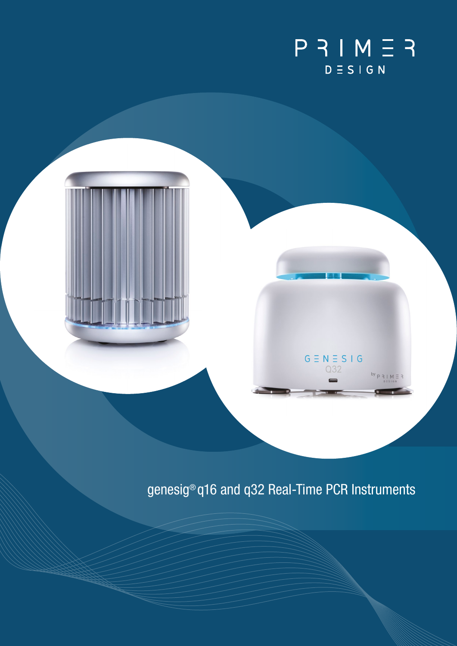

# genesig<sup>®</sup> q16 and q32 Real-Time PCR Instruments

 $G \equiv N \equiv S \mid G$ Q32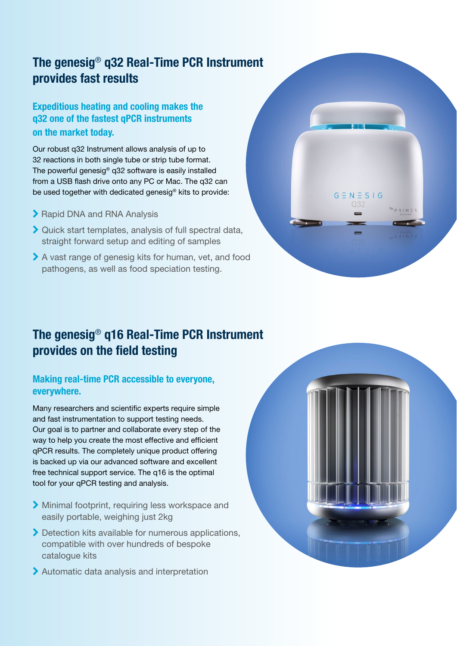## The genesig® q32 Real-Time PCR Instrument provides fast results

### Expeditious heating and cooling makes the q32 one of the fastest qPCR instruments on the market today.

Our robust q32 Instrument allows analysis of up to 32 reactions in both single tube or strip tube format. The powerful genesig® q32 software is easily installed from a USB flash drive onto any PC or Mac. The q32 can be used together with dedicated genesig® kits to provide:

- ▶ Rapid DNA and RNA Analysis
- Quick start templates, analysis of full spectral data, straight forward setup and editing of samples
- pathogens, as well as food speciation testing. A vast range of genesig kits for human, vet, and food



### The genesig® q16 Real-Time PCR Instrument provides on the field testing

#### Making real-time PCR accessible to everyone, everywhere.

Many researchers and scientific experts require simple and fast instrumentation to support testing needs. Our goal is to partner and collaborate every step of the way to help you create the most effective and efficient qPCR results. The completely unique product offering is backed up via our advanced software and excellent free technical support service. The q16 is the optimal tool for your qPCR testing and analysis.

- Minimal footprint, requiring less workspace and easily portable, weighing just 2kg
- Detection kits available for numerous applications, compatible with over hundreds of bespoke catalogue kits
- Automatic data analysis and interpretation

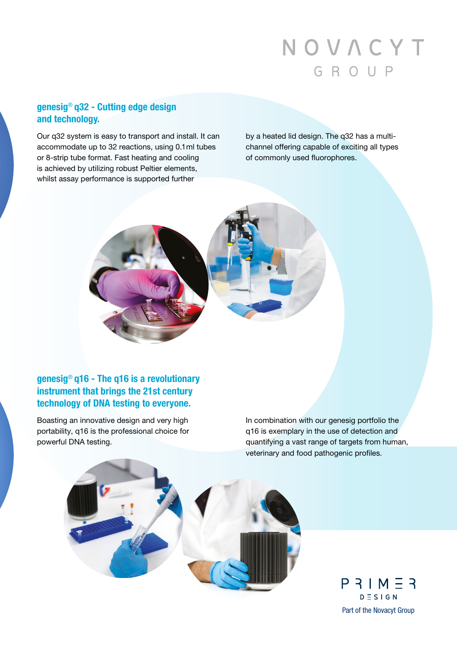# NOVACYT GROUP

#### genesig® q32 - Cutting edge design and technology.

Our q32 system is easy to transport and install. It can accommodate up to 32 reactions, using 0.1 ml tubes or 8-strip tube format. Fast heating and cooling is achieved by utilizing robust Peltier elements, whilst assay performance is supported further

by a heated lid design. The q32 has a multichannel offering capable of exciting all types of commonly used fluorophores.



#### genesig® q16 - The q16 is a revolutionary instrument that brings the 21st century technology of DNA testing to everyone.

Boasting an innovative design and very high portability, q16 is the professional choice for powerful DNA testing.

In combination with our genesig portfolio the q16 is exemplary in the use of detection and quantifying a vast range of targets from human, veterinary and food pathogenic profiles.